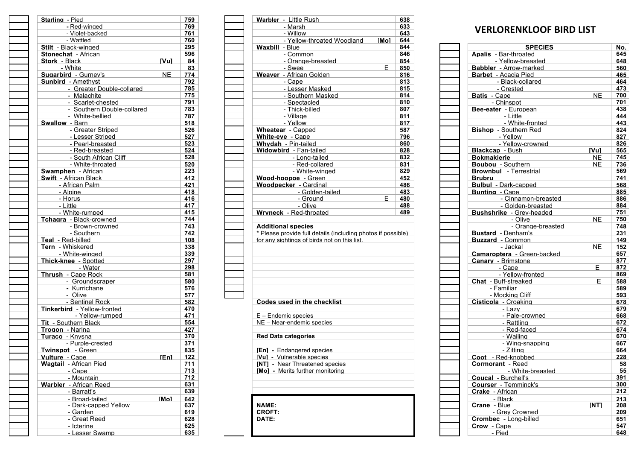| Starling - Pied                     | 759        | 638<br>Warbler - Little Rush                                 |
|-------------------------------------|------------|--------------------------------------------------------------|
| - Red-winged                        | 769        | 633<br>- Marsh                                               |
| - Violet-backed                     | 761        | 643<br>- Willow                                              |
| - Wattled                           | 760        | - Yellow-throated Woodland<br>[Mo]<br>644                    |
| <b>Stilt</b> - Black-winged         | 295        | <b>Waxbill</b> - Blue<br>844                                 |
| <b>Stonechat - African</b>          | 596        | 846<br>- Common                                              |
| <b>Stork - Black</b><br><b>IVul</b> | 84         | - Orange-breasted<br>854                                     |
| - White                             | 83         | E<br>850<br>- Swee                                           |
| Sugarbird - Gurney's<br><b>NE</b>   | 774        | Weaver - African Golden<br>816                               |
| <b>Sunbird</b> - Amethyst           | 792        | - Cape<br>813                                                |
| - Greater Double-collared           | 785        | - Lesser Masked<br>815                                       |
| - Malachite                         | 775        | - Southern Masked<br>814                                     |
| - Scarlet-chested                   | 791        | 810<br>- Spectacled                                          |
| - Southern Double-collared          | 783        | - Thick-billed<br>807                                        |
| - White-bellied                     | 787        | - Village<br>811                                             |
| Swallow - Barn                      | 518        | - Yellow<br>817                                              |
| - Greater Striped                   | 526        | 587<br><b>Wheatear</b> - Capped                              |
| - Lesser Striped                    | 527        | 796<br>White-eve - Cape                                      |
|                                     |            |                                                              |
| - Pearl-breasted                    | 523        | 860<br><b>Whydah - Pin-tailed</b>                            |
| - Red-breasted                      | 524        | 828<br>Widowbird - Fan-tailed                                |
| - South African Cliff               | 528        | 832<br>- Long-tailed                                         |
| - White-throated                    | 520        | - Red-collared<br>831                                        |
| <b>Swamphen</b> - African           | 223        | - White-winged<br>829                                        |
| <b>Swift - African Black</b>        | 412        | Wood-hoopoe - Green<br>452                                   |
| - African Palm                      | 421        | <b>Woodpecker - Cardinal</b><br>486                          |
| - Alpine                            | 418        | 483<br>- Golden-tailed                                       |
| - Horus                             | 416        | E<br>- Ground<br>480                                         |
| - Little                            | 417        | - Olive<br>488                                               |
| - White-rumped                      | 415        | Wrvneck - Red-throated<br>489                                |
| Tchagra - Black-crowned             | 744        |                                                              |
| - Brown-crowned                     | 743        | <b>Additional species</b>                                    |
| - Southern                          | 742        | * Please provide full details (including photos if possible) |
| Teal - Red-billed                   | 108        | for any sightings of birds not on this list.                 |
| Tern - Whiskered                    | 338        |                                                              |
| - White-winged                      | 339        |                                                              |
| Thick-knee - Spotted                | 297        |                                                              |
| - Water                             | 298        |                                                              |
| Thrush - Cape Rock                  | 581        |                                                              |
| - Groundscraper                     | 580        |                                                              |
| - Kurrichane                        | 576        |                                                              |
| - Olive                             | 577        |                                                              |
| - Sentinel Rock                     | 582        | Codes used in the checklist                                  |
| Tinkerbird - Yellow-fronted         |            |                                                              |
| - Yellow-rumped                     | 470<br>471 |                                                              |
|                                     |            | $E$ – Endemic species                                        |
| <b>Tit - Southern Black</b>         | 554        | NE - Near-endemic species                                    |
| Trogon - Narina                     | 427        |                                                              |
| Turaco - Knysna                     | 370        | <b>Red Data categories</b>                                   |
| - Purple-crested                    | 371        |                                                              |
| Twinspot - Green                    | 835        | <b>IEnl</b> - Endangered species                             |
| <b>Enl</b><br>Vulture - Cape        | 122        | [Vu] - Vulnerable species                                    |
| <b>Wagtail</b> - African Pied       | 711        | <b>[NT]</b> - Near Threatened species                        |
| - Cape                              | 713        | [Mo] - Merits further monitoring                             |
| - Mountain                          | 712        |                                                              |
| <b>Warbler</b> - African Reed       | 631        |                                                              |
| - Barratt's                         | 639        |                                                              |
| - Broad-tailed<br>[Mol              | 642        |                                                              |
| - Dark-capped Yellow                | 637        | <b>NAME:</b>                                                 |
| - Garden                            | 619        | <b>CROFT:</b>                                                |
| - Great Reed                        | 628        | DATE:                                                        |
| - Icterine                          | 625        |                                                              |
|                                     |            |                                                              |

| <b>g</b> - Pied            |             | 759 |                                                              |      | 638 |                                   |            |
|----------------------------|-------------|-----|--------------------------------------------------------------|------|-----|-----------------------------------|------------|
| - Red-winged               |             | 769 | Warbler - Little Rush<br>- Marsh                             |      | 633 |                                   |            |
| - Violet-backed            |             | 761 | - Willow                                                     |      | 643 | <b>VERLORENKLOOF BIRD LIST</b>    |            |
| - Wattled                  |             | 760 | - Yellow-throated Woodland                                   | [Mo] | 644 |                                   |            |
| Black-winged               |             | 295 | <b>Waxbill</b> - Blue                                        |      | 844 | <b>SPECIES</b>                    |            |
| <b>chat</b> - African      |             | 596 | - Common                                                     |      | 846 | <b>Apalis</b> - Bar-throated      |            |
| - Black                    | <b>IVul</b> | 84  | - Orange-breasted                                            |      | 854 | - Yellow-breasted                 |            |
| - White                    |             | 83  | - Swee                                                       | F.   | 850 | <b>Babbler</b> - Arrow-marked     |            |
| bird - Gurnev's            | NE.         | 774 | Weaver - African Golden                                      |      | 816 | <b>Barbet</b> - Acacia Pied       |            |
| rd - Amethvst              |             | 792 | - Cape                                                       |      | 813 |                                   |            |
|                            |             |     |                                                              |      | 815 | - Black-collared<br>- Crested     |            |
| - Greater Double-collared  |             | 785 | - Lesser Masked                                              |      |     |                                   | N          |
| - Malachite                |             | 775 | - Southern Masked<br>- Spectacled                            |      | 814 | <b>Batis</b> - Cape<br>- Chinspot |            |
| - Scarlet-chested          |             | 791 |                                                              |      | 810 |                                   |            |
| - Southern Double-collared |             | 783 | - Thick-billed                                               |      | 807 | Bee-eater - European              |            |
| - White-bellied            |             | 787 | - Village                                                    |      | 811 | - Little                          |            |
| ow - Barn                  |             | 518 | - Yellow                                                     |      | 817 | - White-fronted                   |            |
| - Greater Striped          |             | 526 | <b>Wheatear</b> - Capped                                     |      | 587 | <b>Bishop</b> - Southern Red      |            |
| - Lesser Striped           |             | 527 | White-eve - Cape                                             |      | 796 | - Yellow                          |            |
| - Pearl-breasted           |             | 523 | Whydah - Pin-tailed                                          |      | 860 | - Yellow-crowned                  |            |
| - Red-breasted             |             | 524 | Widowbird - Fan-tailed                                       |      | 828 | <b>Blackcap</b> - Bush            | ľVι        |
| - South African Cliff      |             | 528 | - Long-tailed                                                |      | 832 | <b>Bokmakierie</b>                | N          |
| - White-throated           |             | 520 | - Red-collared                                               |      | 831 | <b>Boubou</b> - Southern          | N          |
| <b>iphen</b> - African     |             | 223 | - White-winged                                               |      | 829 | <b>Brownbul</b> - Terrestrial     |            |
| - African Black            |             | 412 | Wood-hoopoe - Green                                          |      | 452 | <b>Brubru</b>                     |            |
| - African Palm             |             | 421 | <b>Woodpecker</b> - Cardinal                                 |      | 486 | <b>Bulbul - Dark-capped</b>       |            |
| - Alpine                   |             | 418 | - Golden-tailed                                              |      | 483 | <b>Bunting - Cape</b>             |            |
| - Horus                    |             | 416 | - Ground                                                     | E.   | 480 | - Cinnamon-breasted               |            |
| - Little                   |             | 417 | - Olive                                                      |      | 488 | - Golden-breasted                 |            |
| - White-rumped             |             | 415 | Wrvneck - Red-throated                                       |      | 489 | <b>Bushshrike - Grev-headed</b>   |            |
| <b>ra</b> - Black-crowned  |             | 744 |                                                              |      |     | - Olive                           | N          |
| - Brown-crowned            |             | 743 | <b>Additional species</b>                                    |      |     | - Orange-breasted                 |            |
| - Southern                 |             | 742 | * Please provide full details (including photos if possible) |      |     | <b>Bustard</b> - Denham's         |            |
| Red-billed -               |             | 108 | for any sightings of birds not on this list.                 |      |     | <b>Buzzard</b> - Common           |            |
| - Whiskered                |             | 338 |                                                              |      |     | - Jackal                          | N          |
| - White-winged             |             | 339 |                                                              |      |     | Camaroptera - Green-backed        |            |
| -knee - Spotted            |             | 297 |                                                              |      |     | <b>Canary</b> - Brimstone         |            |
| - Water                    |             | 298 |                                                              |      |     | - Cape                            |            |
| h - Cape Rock              |             | 581 |                                                              |      |     | - Yellow-fronted                  |            |
| - Groundscraper            |             | 580 |                                                              |      |     | <b>Chat - Buff-streaked</b>       |            |
|                            |             | 576 |                                                              |      |     | - Familiar                        |            |
| - Kurrichane<br>- Olive    |             | 577 |                                                              |      |     | - Mocking Cliff                   |            |
| - Sentinel Rock            |             |     | Codes used in the checklist                                  |      |     |                                   |            |
|                            |             | 582 |                                                              |      |     | Cisticola - Croaking              |            |
| rbird - Yellow-fronted     |             | 470 |                                                              |      |     | - Lazv                            |            |
| - Yellow-rumped            |             | 471 | $E$ – Endemic species                                        |      |     | - Pale-crowned                    |            |
| Southern Black             |             | 554 | NE - Near-endemic species                                    |      |     | - Rattling                        |            |
| n - Narina                 |             | 427 |                                                              |      |     | - Red-faced                       |            |
| <b>o</b> - Knysna          |             | 370 | <b>Red Data categories</b>                                   |      |     | - Wailing                         |            |
| - Purple-crested           |             | 371 |                                                              |      |     | - Wing-snapping                   |            |
| pot - Green                |             | 835 | [En] - Endangered species                                    |      |     | - Zitting                         |            |
| e - Cape                   | <b>IEnl</b> | 122 | [Vu] - Vulnerable species                                    |      |     | Coot - Red-knobbed                |            |
| ail - African Pied         |             | 711 | <b>[NT]</b> - Near Threatened species                        |      |     | <b>Cormorant - Reed</b>           |            |
| - Cape                     |             | 713 | [Mo] - Merits further monitoring                             |      |     | - White-breasted                  |            |
| - Mountain                 |             | 712 |                                                              |      |     | <b>Coucal - Burchell's</b>        |            |
| er - African Reed          |             | 631 |                                                              |      |     | <b>Courser</b> - Temminck's       |            |
| - Barratt's                |             | 639 |                                                              |      |     | <b>Crake</b> - African            |            |
| - Broad-tailed             | <b>Mol</b>  | 642 |                                                              |      |     | - Black                           |            |
| - Dark-capped Yellow       |             | 637 | <b>NAME:</b>                                                 |      |     | <b>Crane</b> - Blue               | <b>INT</b> |
| - Garden                   |             | 619 | <b>CROFT:</b>                                                |      |     | - Grey Crowned                    |            |
| - Great Reed               |             | 628 | DATE:                                                        |      |     | <b>Crombec</b> - Long-billed      |            |

| <u>- Tellow-ulitoateg vyoogiatig</u><br><b>INIUI</b> | v44 |                                    |     |
|------------------------------------------------------|-----|------------------------------------|-----|
| - Blue                                               | 844 | <b>SPECIES</b>                     | No. |
| - Common                                             | 846 | <b>Apalis</b> - Bar-throated       | 645 |
| - Orange-breasted                                    | 854 | - Yellow-breasted                  | 648 |
| E.<br>- Swee                                         | 850 | <b>Babbler</b> - Arrow-marked      | 560 |
| - African Golden                                     | 816 | Barbet - Acacia Pied               | 465 |
| - Cape                                               | 813 | - Black-collared                   | 464 |
| - Lesser Masked                                      | 815 | - Crested                          | 473 |
| - Southern Masked                                    | 814 | <b>Batis</b> - Cape<br><b>NE</b>   | 700 |
| - Spectacled                                         | 810 | - Chinspot                         | 701 |
| - Thick-billed                                       | 807 | Bee-eater - European               | 438 |
| - Village                                            | 811 | - Little                           | 444 |
| - Yellow                                             | 817 | - White-fronted                    | 443 |
| r - Capped                                           | 587 | <b>Bishop</b> - Southern Red       | 824 |
| e - Cape                                             | 796 | - Yellow                           | 827 |
| - Pin-tailed                                         | 860 | - Yellow-crowned                   | 826 |
| rd - Fan-tailed                                      | 828 | <b>Blackcap</b> - Bush<br>[Vu]     | 565 |
| - Long-tailed                                        | 832 | <b>Bokmakierie</b><br><b>NE</b>    | 745 |
| - Red-collared                                       | 831 | Boubou - Southern<br><b>NE</b>     | 736 |
| - White-winged                                       | 829 | <b>Brownbul</b> - Terrestrial      | 569 |
| oopoe - Green                                        | 452 | <b>Brubru</b>                      | 741 |
| cker - Cardinal                                      | 486 | <b>Bulbul - Dark-capped</b>        | 568 |
| - Golden-tailed                                      | 483 | <b>Bunting - Cape</b>              | 885 |
| - Ground<br>E.                                       | 480 | - Cinnamon-breasted                | 886 |
| - Olive                                              | 488 | - Golden-breasted                  | 884 |
| - Red-throated                                       | 489 | <b>Bushshrike - Grev-headed</b>    | 751 |
|                                                      |     | <b>NE</b><br>- Olive               | 750 |
| al species                                           |     | - Orange-breasted                  | 748 |
| provide full details (including photos if possible)  |     | <b>Bustard</b> - Denham's          | 231 |
| ahtings of birds not on this list.                   |     | <b>Buzzard</b> - Common            | 149 |
|                                                      |     | <b>NE</b><br>- Jackal              | 152 |
|                                                      |     | Camaroptera - Green-backed         | 657 |
|                                                      |     | <b>Canary</b> - Brimstone          | 877 |
|                                                      |     | Е.<br>- Cape                       | 872 |
|                                                      |     | - Yellow-fronted                   | 869 |
|                                                      |     | E.<br><b>Chat</b> - Buff-streaked  | 588 |
|                                                      |     | - Familiar                         | 589 |
|                                                      |     | - Mocking Cliff                    | 593 |
| sed in the checklist                                 |     | Cisticola - Croaking               | 678 |
|                                                      |     | - Lazv                             | 679 |
| nic species                                          |     | - Pale-crowned                     | 668 |
| r-endemic species                                    |     | - Rattling                         | 672 |
|                                                      |     | - Red-faced                        | 674 |
| categories                                           |     | - Wailing                          | 670 |
|                                                      |     | - Wing-snapping                    | 667 |
| dangered species                                     |     | - Zittina                          | 664 |
| ilnerable species                                    |     | Coot - Red-knobbed                 | 228 |
| ear Threatened species                               |     | <b>Cormorant - Reed</b>            | 58  |
| erits further monitoring                             |     | - White-breasted                   | 55  |
|                                                      |     | <b>Coucal - Burchell's</b>         | 391 |
|                                                      |     | <b>Courser</b> - Temminck's        | 300 |
|                                                      |     | <b>Crake</b> - African             | 212 |
|                                                      |     | - Black                            | 213 |
|                                                      |     | <b>Crane</b> - Blue<br><b>INTI</b> | 208 |
|                                                      |     | - Grey Crowned                     | 209 |
|                                                      |     | Crombec - Long-billed              | 651 |
|                                                      |     | Crow - Cape                        | 547 |
|                                                      |     | - Pied                             | 648 |
|                                                      |     |                                    |     |